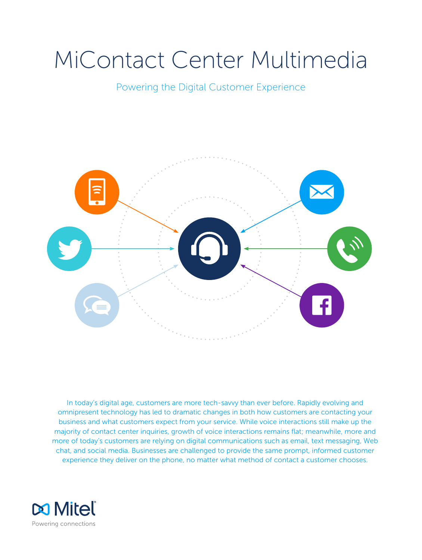# MiContact Center Multimedia

Powering the Digital Customer Experience



In today's digital age, customers are more tech-savvy than ever before. Rapidly evolving and omnipresent technology has led to dramatic changes in both how customers are contacting your business and what customers expect from your service. While voice interactions still make up the majority of contact center inquiries, growth of voice interactions remains flat; meanwhile, more and more of today's customers are relying on digital communications such as email, text messaging, Web chat, and social media. Businesses are challenged to provide the same prompt, informed customer experience they deliver on the phone, no matter what method of contact a customer chooses.

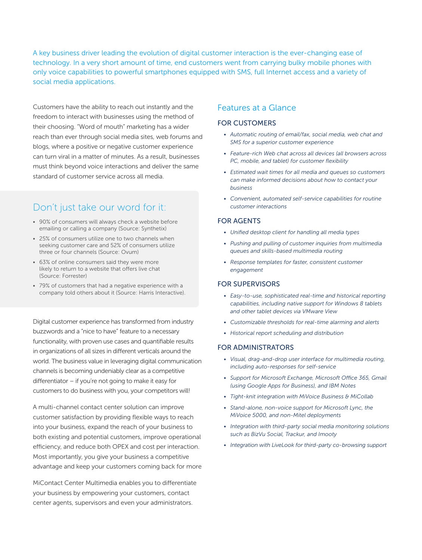A key business driver leading the evolution of digital customer interaction is the ever-changing ease of technology. In a very short amount of time, end customers went from carrying bulky mobile phones with only voice capabilities to powerful smartphones equipped with SMS, full Internet access and a variety of social media applications.

Customers have the ability to reach out instantly and the freedom to interact with businesses using the method of their choosing. "Word of mouth" marketing has a wider reach than ever through social media sites, web forums and blogs, where a positive or negative customer experience can turn viral in a matter of minutes. As a result, businesses must think beyond voice interactions and deliver the same standard of customer service across all media.

# Don't just take our word for it:

- 90% of consumers will always check a website before emailing or calling a company (Source: Synthetix)
- 25% of consumers utilize one to two channels when seeking customer care and 52% of consumers utilize three or four channels (Source: Ovum)
- 63% of online consumers said they were more likely to return to a website that offers live chat (Source: Forrester)
- 79% of customers that had a negative experience with a company told others about it (Source: Harris Interactive).

Digital customer experience has transformed from industry buzzwords and a "nice to have" feature to a necessary functionality, with proven use cases and quantifiable results in organizations of all sizes in different verticals around the world. The business value in leveraging digital communication channels is becoming undeniably clear as a competitive differentiator – if you're not going to make it easy for customers to do business with you, your competitors will!

A multi-channel contact center solution can improve customer satisfaction by providing flexible ways to reach into your business, expand the reach of your business to both existing and potential customers, improve operational efficiency, and reduce both OPEX and cost per interaction. Most importantly, you give your business a competitive advantage and keep your customers coming back for more

MiContact Center Multimedia enables you to differentiate your business by empowering your customers, contact center agents, supervisors and even your administrators.

### Features at a Glance

#### FOR CUSTOMERS

- *• Automatic routing of email/fax, social media, web chat and SMS for a superior customer experience*
- *• Feature-rich Web chat across all devices (all browsers across PC, mobile, and tablet) for customer flexibility*
- *• Estimated wait times for all media and queues so customers can make informed decisions about how to contact your business*
- *• Convenient, automated self-service capabilities for routine customer interactions*

#### FOR AGENTS

- *• Unified desktop client for handling all media types*
- *• Pushing and pulling of customer inquiries from multimedia queues and skills-based multimedia routing*
- *• Response templates for faster, consistent customer engagement*

#### FOR SUPERVISORS

- *• Easy-to-use, sophisticated real-time and historical reporting capabilities, including native support for Windows 8 tablets and other tablet devices via VMware View*
- *• Customizable thresholds for real-time alarming and alerts*
- *• Historical report scheduling and distribution*

#### FOR ADMINISTRATORS

- *• Visual, drag-and-drop user interface for multimedia routing, including auto-responses for self-service*
- *• Support for Microsoft Exchange, Microsoft Office 365, Gmail (using Google Apps for Business), and IBM Notes*
- *• Tight-knit integration with MiVoice Business & MiCollab*
- *• Stand-alone, non-voice support for Microsoft Lync, the MiVoice 5000, and non-Mitel deployments*
- *• Integration with third-party social media monitoring solutions such as BizVu Social, Trackur, and Imooty*
- *• Integration with LiveLook for third-party co-browsing support*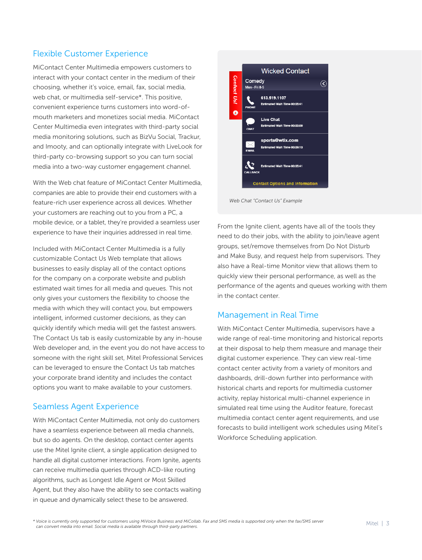## Flexible Customer Experience

MiContact Center Multimedia empowers customers to interact with your contact center in the medium of their choosing, whether it's voice, email, fax, social media, web chat, or multimedia self-service\*. This positive, convenient experience turns customers into word-ofmouth marketers and monetizes social media. MiContact Center Multimedia even integrates with third-party social media monitoring solutions, such as BizVu Social, Trackur, and Imooty, and can optionally integrate with LiveLook for third-party co-browsing support so you can turn social media into a two-way customer engagement channel.

With the Web chat feature of MiContact Center Multimedia, companies are able to provide their end customers with a feature-rich user experience across all devices. Whether your customers are reaching out to you from a PC, a mobile device, or a tablet, they're provided a seamless user experience to have their inquiries addressed in real time.

Included with MiContact Center Multimedia is a fully customizable Contact Us Web template that allows businesses to easily display all of the contact options for the company on a corporate website and publish estimated wait times for all media and queues. This not only gives your customers the flexibility to choose the media with which they will contact you, but empowers intelligent, informed customer decisions, as they can quickly identify which media will get the fastest answers. The Contact Us tab is easily customizable by any in-house Web developer and, in the event you do not have access to someone with the right skill set, Mitel Professional Services can be leveraged to ensure the Contact Us tab matches your corporate brand identity and includes the contact options you want to make available to your customers.

#### Seamless Agent Experience

With MiContact Center Multimedia, not only do customers have a seamless experience between all media channels, but so do agents. On the desktop, contact center agents use the Mitel Ignite client, a single application designed to handle all digital customer interactions. From Ignite, agents can receive multimedia queries through ACD-like routing algorithms, such as Longest Idle Agent or Most Skilled Agent, but they also have the ability to see contacts waiting in queue and dynamically select these to be answered.



*Web Chat "Contact Us" Example*

From the Ignite client, agents have all of the tools they need to do their jobs, with the ability to join/leave agent groups, set/remove themselves from Do Not Disturb and Make Busy, and request help from supervisors. They also have a Real-time Monitor view that allows them to quickly view their personal performance, as well as the performance of the agents and queues working with them in the contact center.

#### Management in Real Time

With MiContact Center Multimedia, supervisors have a wide range of real-time monitoring and historical reports at their disposal to help them measure and manage their digital customer experience. They can view real-time contact center activity from a variety of monitors and dashboards, drill-down further into performance with historical charts and reports for multimedia customer activity, replay historical multi-channel experience in simulated real time using the Auditor feature, forecast multimedia contact center agent requirements, and use forecasts to build intelligent work schedules using Mitel's Workforce Scheduling application.

*\* Voice is currently only supported for customers using MiVoice Business and MiCollab. Fax and SMS media is supported only when the fax/SMS server can convert media into email. Social media is available through third-party partners.*